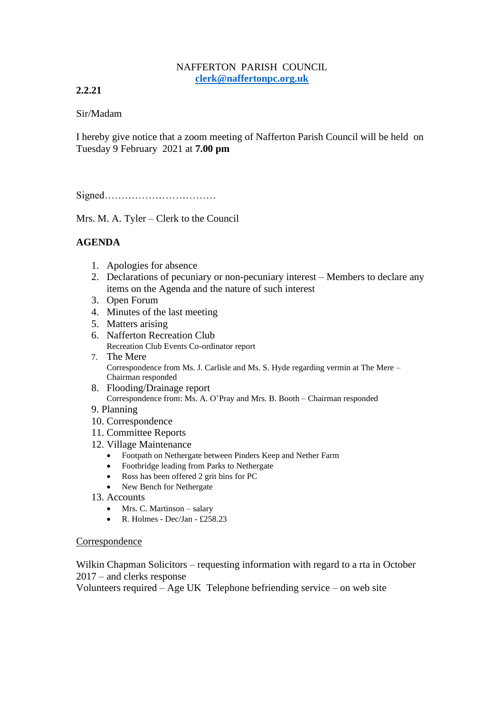#### NAFFERTON PARISH COUNCIL **[clerk@naffertonpc.org.uk](mailto:clerk@naffertonpc.org.uk)**

# **2.2.21**

### Sir/Madam

I hereby give notice that a zoom meeting of Nafferton Parish Council will be held on Tuesday 9 February 2021 at **7.00 pm**

Signed……………………………

Mrs. M. A. Tyler – Clerk to the Council

# **AGENDA**

- 1. Apologies for absence
- 2. Declarations of pecuniary or non-pecuniary interest Members to declare any items on the Agenda and the nature of such interest
- 3. Open Forum
- 4. Minutes of the last meeting
- 5. Matters arising
- 6. Nafferton Recreation Club Recreation Club Events Co-ordinator report
- 7. The Mere Correspondence from Ms. J. Carlisle and Ms. S. Hyde regarding vermin at The Mere – Chairman responded
- 8. Flooding/Drainage report Correspondence from: Ms. A. O'Pray and Mrs. B. Booth – Chairman responded
- 9. Planning
- 10. Correspondence
- 11. Committee Reports
- 12. Village Maintenance
	- Footpath on Nethergate between Pinders Keep and Nether Farm
	- Footbridge leading from Parks to Nethergate
	- Ross has been offered 2 grit bins for PC
	- New Bench for Nethergate
- 13. Accounts
	- Mrs. C. Martinson salary
	- R. Holmes Dec/Jan £258.23

### Correspondence

Wilkin Chapman Solicitors – requesting information with regard to a rta in October 2017 – and clerks response

Volunteers required – Age UK Telephone befriending service – on web site